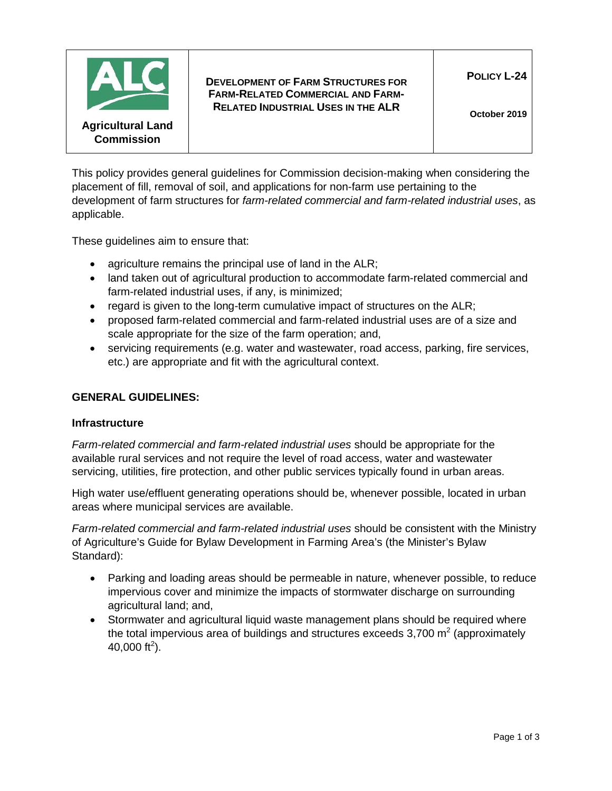

**DEVELOPMENT OF FARM STRUCTURES FOR FARM-RELATED COMMERCIAL AND FARM-RELATED INDUSTRIAL USES IN THE ALR**

This policy provides general guidelines for Commission decision-making when considering the placement of fill, removal of soil, and applications for non-farm use pertaining to the development of farm structures for *farm-related commercial and farm-related industrial uses*, as applicable.

These guidelines aim to ensure that:

- agriculture remains the principal use of land in the ALR;
- land taken out of agricultural production to accommodate farm-related commercial and farm-related industrial uses, if any, is minimized;
- regard is given to the long-term cumulative impact of structures on the ALR;
- proposed farm-related commercial and farm-related industrial uses are of a size and scale appropriate for the size of the farm operation; and,
- servicing requirements (e.g. water and wastewater, road access, parking, fire services, etc.) are appropriate and fit with the agricultural context.

# **GENERAL GUIDELINES:**

#### **Infrastructure**

*Farm-related commercial and farm-related industrial uses* should be appropriate for the available rural services and not require the level of road access, water and wastewater servicing, utilities, fire protection, and other public services typically found in urban areas.

High water use/effluent generating operations should be, whenever possible, located in urban areas where municipal services are available.

*Farm-related commercial and farm-related industrial uses* should be consistent with the Ministry of Agriculture's Guide for Bylaw Development in Farming Area's (the Minister's Bylaw Standard):

- Parking and loading areas should be permeable in nature, whenever possible, to reduce impervious cover and minimize the impacts of stormwater discharge on surrounding agricultural land; and,
- Stormwater and agricultural liquid waste management plans should be required where the total impervious area of buildings and structures exceeds  $3,700$  m<sup>2</sup> (approximately 40,000 ft<sup>2</sup>).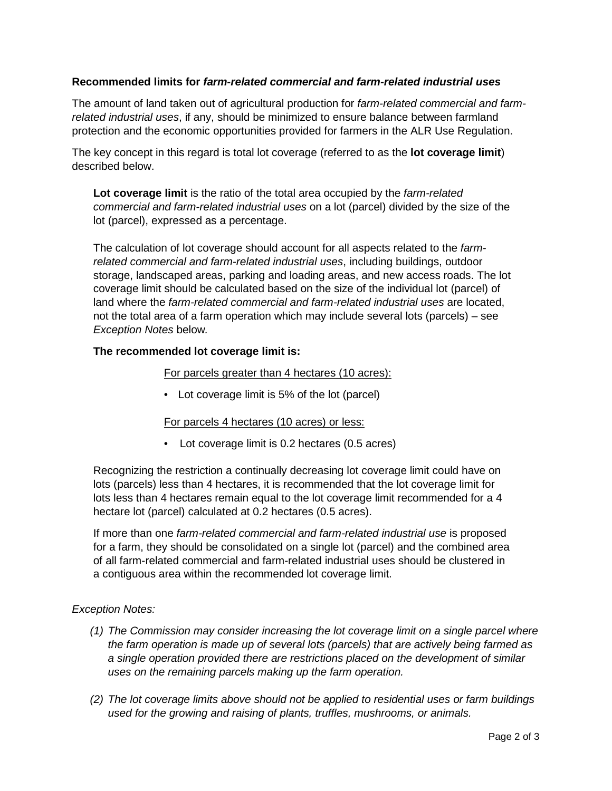# **Recommended limits for** *farm-related commercial and farm-related industrial uses*

The amount of land taken out of agricultural production for *farm-related commercial and farmrelated industrial uses*, if any, should be minimized to ensure balance between farmland protection and the economic opportunities provided for farmers in the ALR Use Regulation.

The key concept in this regard is total lot coverage (referred to as the **lot coverage limit**) described below.

**Lot coverage limit** is the ratio of the total area occupied by the *farm-related commercial and farm-related industrial uses* on a lot (parcel) divided by the size of the lot (parcel), expressed as a percentage.

The calculation of lot coverage should account for all aspects related to the *farmrelated commercial and farm-related industrial uses*, including buildings, outdoor storage, landscaped areas, parking and loading areas, and new access roads. The lot coverage limit should be calculated based on the size of the individual lot (parcel) of land where the *farm-related commercial and farm-related industrial uses* are located, not the total area of a farm operation which may include several lots (parcels) – see *Exception Notes* below*.*

# **The recommended lot coverage limit is:**

### For parcels greater than 4 hectares (10 acres):

• Lot coverage limit is 5% of the lot (parcel)

# For parcels 4 hectares (10 acres) or less:

• Lot coverage limit is 0.2 hectares (0.5 acres)

Recognizing the restriction a continually decreasing lot coverage limit could have on lots (parcels) less than 4 hectares, it is recommended that the lot coverage limit for lots less than 4 hectares remain equal to the lot coverage limit recommended for a 4 hectare lot (parcel) calculated at 0.2 hectares (0.5 acres).

If more than one *farm-related commercial and farm-related industrial use* is proposed for a farm, they should be consolidated on a single lot (parcel) and the combined area of all farm-related commercial and farm-related industrial uses should be clustered in a contiguous area within the recommended lot coverage limit.

# *Exception Notes:*

- *(1) The Commission may consider increasing the lot coverage limit on a single parcel where the farm operation is made up of several lots (parcels) that are actively being farmed as a single operation provided there are restrictions placed on the development of similar uses on the remaining parcels making up the farm operation.*
- *(2) The lot coverage limits above should not be applied to residential uses or farm buildings used for the growing and raising of plants, truffles, mushrooms, or animals.*